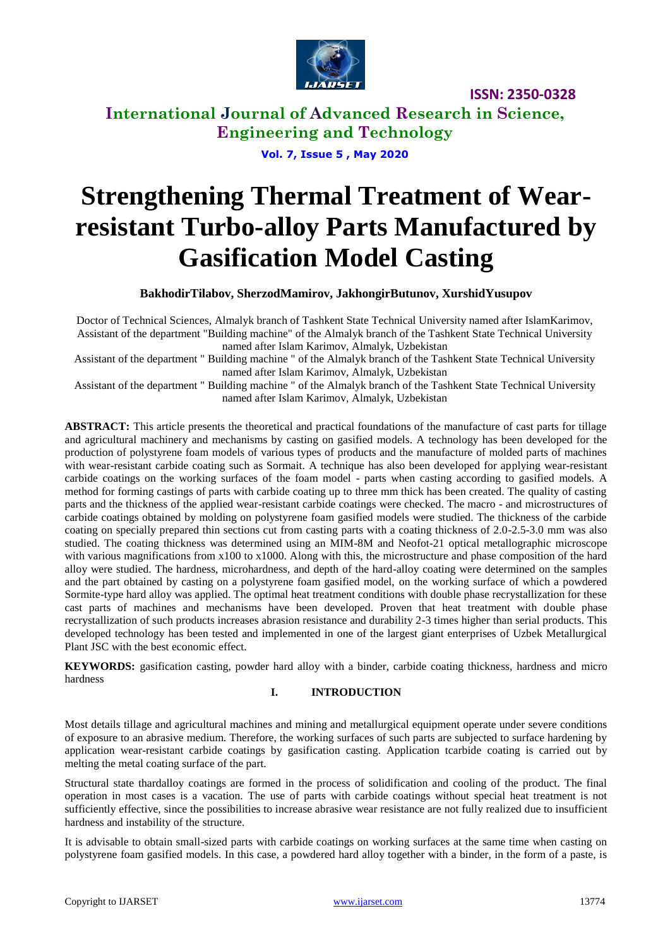

**International Journal of Advanced Research in Science, Engineering and Technology**

**Vol. 7, Issue 5 , May 2020**

# **Strengthening Thermal Treatment of Wearresistant Turbo-alloy Parts Manufactured by Gasification Model Casting**

**BakhodirTilabov, SherzodMamirov, JakhongirButunov, XurshidYusupov**

Doctor of Technical Sciences, Almalyk branch of Tashkent State Technical University named after IslamKarimov, Assistant of the department "Building machine" of the Almalyk branch of the Tashkent State Technical University named after Islam Karimov, Almalyk, Uzbekistan

Assistant of the department " Building machine " of the Almalyk branch of the Tashkent State Technical University named after Islam Karimov, Almalyk, Uzbekistan

Assistant of the department " Building machine " of the Almalyk branch of the Tashkent State Technical University named after Islam Karimov, Almalyk, Uzbekistan

**ABSTRACT:** This article presents the theoretical and practical foundations of the manufacture of cast parts for tillage and agricultural machinery and mechanisms by casting on gasified models. A technology has been developed for the production of polystyrene foam models of various types of products and the manufacture of molded parts of machines with wear-resistant carbide coating such as Sormait. A technique has also been developed for applying wear-resistant carbide coatings on the working surfaces of the foam model - parts when casting according to gasified models. A method for forming castings of parts with carbide coating up to three mm thick has been created. The quality of casting parts and the thickness of the applied wear-resistant carbide coatings were checked. The macro - and microstructures of carbide coatings obtained by molding on polystyrene foam gasified models were studied. The thickness of the carbide coating on specially prepared thin sections cut from casting parts with a coating thickness of 2.0-2.5-3.0 mm was also studied. The coating thickness was determined using an MIM-8M and Neofot-21 optical metallographic microscope with various magnifications from x100 to x1000. Along with this, the microstructure and phase composition of the hard alloy were studied. The hardness, microhardness, and depth of the hard-alloy coating were determined on the samples and the part obtained by casting on a polystyrene foam gasified model, on the working surface of which a powdered Sormite-type hard alloy was applied. The optimal heat treatment conditions with double phase recrystallization for these cast parts of machines and mechanisms have been developed. Proven that heat treatment with double phase recrystallization of such products increases abrasion resistance and durability 2-3 times higher than serial products. This developed technology has been tested and implemented in one of the largest giant enterprises of Uzbek Metallurgical Plant JSC with the best economic effect.

**KEYWORDS:** gasification casting, powder hard alloy with a binder, carbide coating thickness, hardness and micro hardness

#### **I. INTRODUCTION**

Most details tillage and agricultural machines and mining and metallurgical equipment operate under severe conditions of exposure to an abrasive medium. Therefore, the working surfaces of such parts are subjected to surface hardening by application wear-resistant carbide coatings by gasification casting. Application tcarbide coating is carried out by melting the metal coating surface of the part.

Structural state thardalloy coatings are formed in the process of solidification and cooling of the product. The final operation in most cases is a vacation. The use of parts with carbide coatings without special heat treatment is not sufficiently effective, since the possibilities to increase abrasive wear resistance are not fully realized due to insufficient hardness and instability of the structure.

It is advisable to obtain small-sized parts with carbide coatings on working surfaces at the same time when casting on polystyrene foam gasified models. In this case, a powdered hard alloy together with a binder, in the form of a paste, is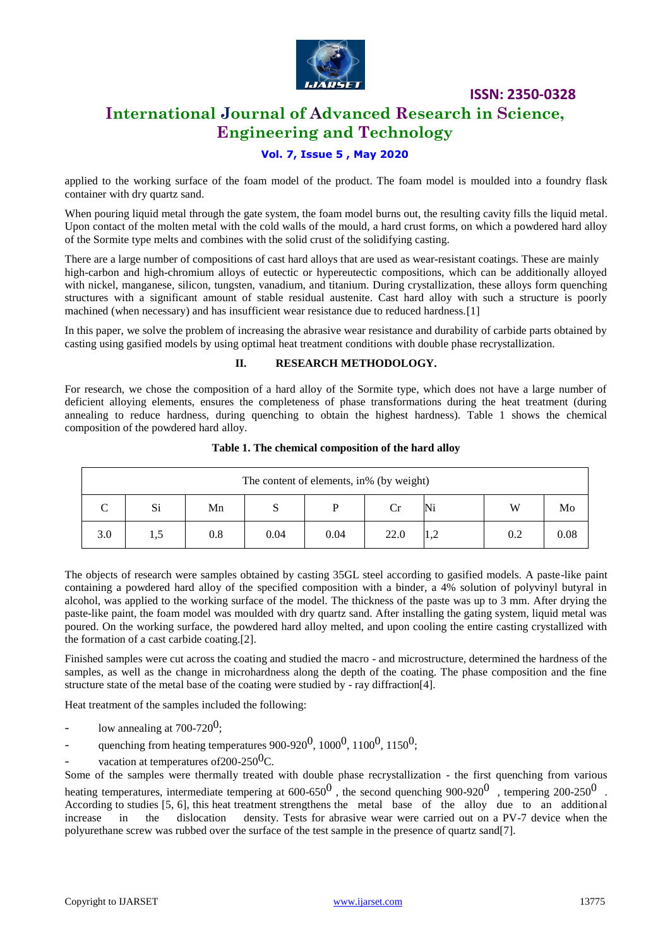

## **International Journal of Advanced Research in Science, Engineering and Technology**

#### **Vol. 7, Issue 5 , May 2020**

applied to the working surface of the foam model of the product. The foam model is moulded into a foundry flask container with dry quartz sand.

When pouring liquid metal through the gate system, the foam model burns out, the resulting cavity fills the liquid metal. Upon contact of the molten metal with the cold walls of the mould, a hard crust forms, on which a powdered hard alloy of the Sormite type melts and combines with the solid crust of the solidifying casting.

There are a large number of compositions of cast hard alloys that are used as wear-resistant coatings. These are mainly high-carbon and high-chromium alloys of eutectic or hypereutectic compositions, which can be additionally alloyed with nickel, manganese, silicon, tungsten, vanadium, and titanium. During crystallization, these alloys form quenching structures with a significant amount of stable residual austenite. Cast hard alloy with such a structure is poorly machined (when necessary) and has insufficient wear resistance due to reduced hardness.[1]

In this paper, we solve the problem of increasing the abrasive wear resistance and durability of carbide parts obtained by casting using gasified models by using optimal heat treatment conditions with double phase recrystallization.

#### **II. RESEARCH METHODOLOGY.**

For research, we chose the composition of a hard alloy of the Sormite type, which does not have a large number of deficient alloying elements, ensures the completeness of phase transformations during the heat treatment (during annealing to reduce hardness, during quenching to obtain the highest hardness). Table 1 shows the chemical composition of the powdered hard alloy.

| The content of elements, in% (by weight) |     |     |      |      |      |  |     |      |  |  |
|------------------------------------------|-----|-----|------|------|------|--|-----|------|--|--|
|                                          | Si  | Mn  | C    |      | Cr   |  | W   | Mo   |  |  |
| 3.0                                      | 1,5 | 0.8 | 0.04 | 0.04 | 22.0 |  | 0.2 | 0.08 |  |  |

#### **Table 1. The chemical composition of the hard alloy**

The objects of research were samples obtained by casting 35GL steel according to gasified models. A paste-like paint containing a powdered hard alloy of the specified composition with a binder, a 4% solution of polyvinyl butyral in alcohol, was applied to the working surface of the model. The thickness of the paste was up to 3 mm. After drying the paste-like paint, the foam model was moulded with dry quartz sand. After installing the gating system, liquid metal was poured. On the working surface, the powdered hard alloy melted, and upon cooling the entire casting crystallized with the formation of a cast carbide coating.[2].

Finished samples were cut across the coating and studied the macro - and microstructure, determined the hardness of the samples, as well as the change in microhardness along the depth of the coating. The phase composition and the fine structure state of the metal base of the coating were studied by - ray diffraction[4].

Heat treatment of the samples included the following:

- low annealing at  $700-720^0$ :
- quenching from heating temperatures  $900-920^0$ ,  $1000^0$ ,  $1100^0$ ,  $1150^0$ ;
- vacation at temperatures of  $200-250^0C$ .

Some of the samples were thermally treated with double phase recrystallization - the first quenching from various heating temperatures, intermediate tempering at 600-650<sup>0</sup>, the second quenching 900-920<sup>0</sup>, tempering 200-250<sup>0</sup>.

According to studies [5, 6], this heat treatment strengthens the metal base of the alloy due to an additional increase in the dislocation density. Tests for abrasive wear were carried out on a PV-7 device when the polyurethane screw was rubbed over the surface of the test sample in the presence of quartz sand[7].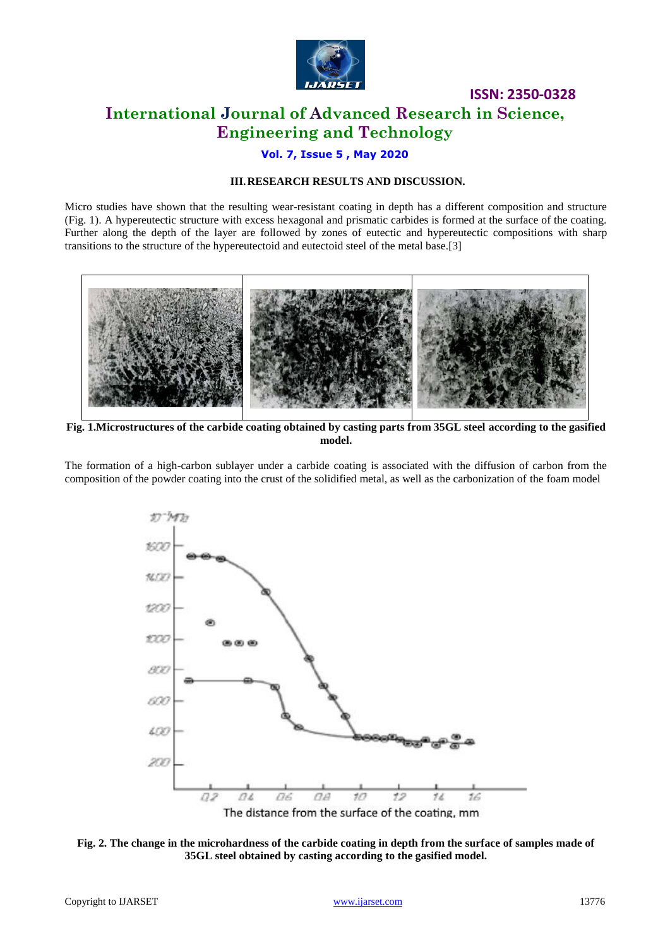

**ISSN: 2350-0328 International Journal of Advanced Research in Science, Engineering and Technology**

#### **Vol. 7, Issue 5 , May 2020**

#### **III.RESEARCH RESULTS AND DISCUSSION.**

Micro studies have shown that the resulting wear-resistant coating in depth has a different composition and structure (Fig. 1). A hypereutectic structure with excess hexagonal and prismatic carbides is formed at the surface of the coating. Further along the depth of the layer are followed by zones of eutectic and hypereutectic compositions with sharp transitions to the structure of the hypereutectoid and eutectoid steel of the metal base.[3]



**Fig. 1.Microstructures of the carbide coating obtained by casting parts from 35GL steel according to the gasified model.**

The formation of a high-carbon sublayer under a carbide coating is associated with the diffusion of carbon from the composition of the powder coating into the crust of the solidified metal, as well as the carbonization of the foam model



**Fig. 2. The change in the microhardness of the carbide coating in depth from the surface of samples made of 35GL steel obtained by casting according to the gasified model.**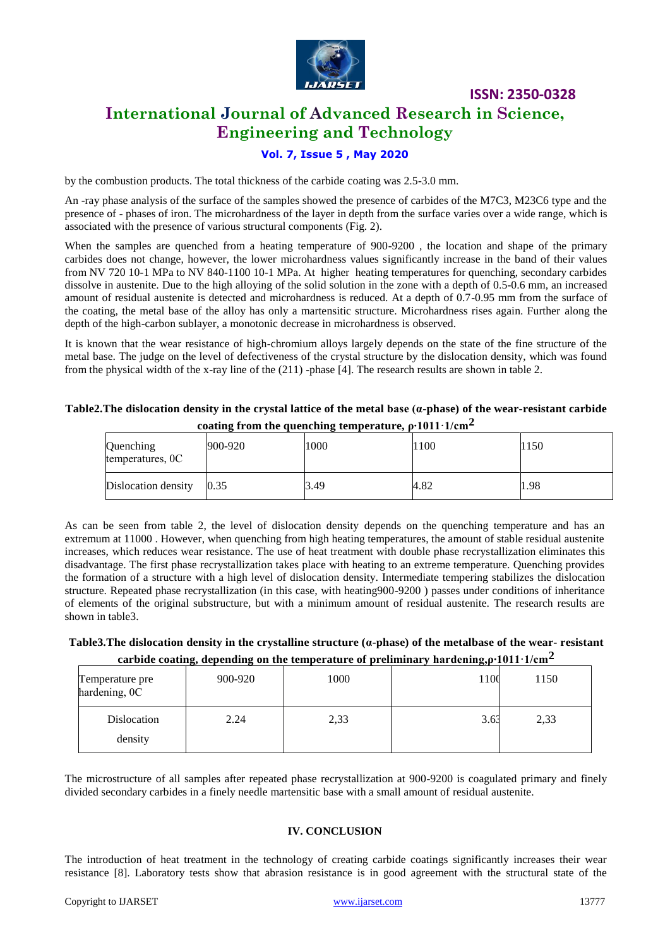

# **International Journal of Advanced Research in Science, Engineering and Technology**

**ISSN: 2350-0328**

#### **Vol. 7, Issue 5 , May 2020**

by the combustion products. The total thickness of the carbide coating was 2.5-3.0 mm.

An -ray phase analysis of the surface of the samples showed the presence of carbides of the M7C3, M23C6 type and the presence of - phases of iron. The microhardness of the layer in depth from the surface varies over a wide range, which is associated with the presence of various structural components (Fig. 2).

When the samples are quenched from a heating temperature of 900-9200, the location and shape of the primary carbides does not change, however, the lower microhardness values significantly increase in the band of their values from NV 720 10-1 MPa to NV 840-1100 10-1 MPa. At higher heating temperatures for quenching, secondary carbides dissolve in austenite. Due to the high alloying of the solid solution in the zone with a depth of 0.5-0.6 mm, an increased amount of residual austenite is detected and microhardness is reduced. At a depth of 0.7-0.95 mm from the surface of the coating, the metal base of the alloy has only a martensitic structure. Microhardness rises again. Further along the depth of the high-carbon sublayer, a monotonic decrease in microhardness is observed.

It is known that the wear resistance of high-chromium alloys largely depends on the state of the fine structure of the metal base. The judge on the level of defectiveness of the crystal structure by the dislocation density, which was found from the physical width of the x-ray line of the (211) -phase [4]. The research results are shown in table 2.

#### **Table2.The dislocation density in the crystal lattice of the metal base (α-phase) of the wear-resistant carbide coating from the quenching temperature, ρ∙1011·1/cm2**

| Quenching<br>temperatures, 0C | -<br>900-920 | 1000 | 1100 | <b>150</b> |
|-------------------------------|--------------|------|------|------------|
| Dislocation density           | 0.35         | 3.49 | 4.82 | 1.98       |

As can be seen from table 2, the level of dislocation density depends on the quenching temperature and has an extremum at 11000 . However, when quenching from high heating temperatures, the amount of stable residual austenite increases, which reduces wear resistance. The use of heat treatment with double phase recrystallization eliminates this disadvantage. The first phase recrystallization takes place with heating to an extreme temperature. Quenching provides the formation of a structure with a high level of dislocation density. Intermediate tempering stabilizes the dislocation structure. Repeated phase recrystallization (in this case, with heating900-9200 ) passes under conditions of inheritance of elements of the original substructure, but with a minimum amount of residual austenite. The research results are shown in table3.

#### **Table3.The dislocation density in the crystalline structure (α-phase) of the metalbase of the wear- resistant carbide coating, depending on the temperature of preliminary hardening,ρ∙1011·1/cm2**

| Temperature pre<br>hardening, OC | 900-920 | 1000 | 1100 | 1150 |
|----------------------------------|---------|------|------|------|
| Dislocation<br>density           | 2.24    | 2,33 | 3.63 | 2,33 |

The microstructure of all samples after repeated phase recrystallization at 900-9200 is coagulated primary and finely divided secondary carbides in a finely needle martensitic base with a small amount of residual austenite.

#### **IV. CONCLUSION**

The introduction of heat treatment in the technology of creating carbide coatings significantly increases their wear resistance [8]. Laboratory tests show that abrasion resistance is in good agreement with the structural state of the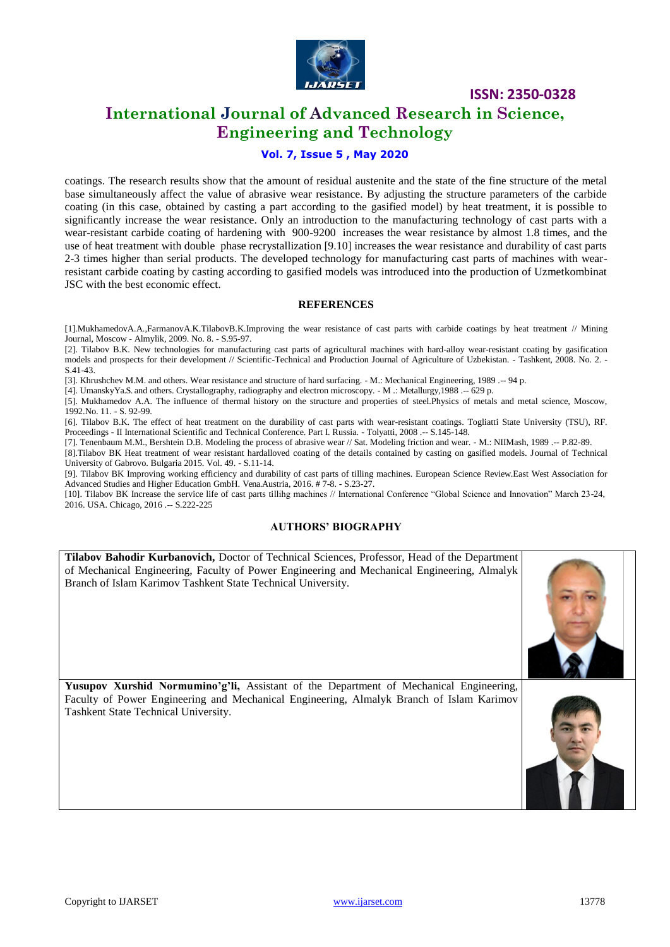

### **International Journal of Advanced Research in Science, Engineering and Technology**

#### **Vol. 7, Issue 5 , May 2020**

coatings. The research results show that the amount of residual austenite and the state of the fine structure of the metal base simultaneously affect the value of abrasive wear resistance. By adjusting the structure parameters of the carbide coating (in this case, obtained by casting a part according to the gasified model) by heat treatment, it is possible to significantly increase the wear resistance. Only an introduction to the manufacturing technology of cast parts with a wear-resistant carbide coating of hardening with 900-9200 increases the wear resistance by almost 1.8 times, and the use of heat treatment with double phase recrystallization [9.10] increases the wear resistance and durability of cast parts 2-3 times higher than serial products. The developed technology for manufacturing cast parts of machines with wearresistant carbide coating by casting according to gasified models was introduced into the production of Uzmetkombinat JSC with the best economic effect.

#### **REFERENCES**

[1].MukhamedovA.A.,FarmanovA.K.TilabovB.K.Improving the wear resistance of cast parts with carbide coatings by heat treatment // Mining Journal, Moscow - Almylik, 2009. No. 8. - S.95-97.

[2]. Tilabov B.K. New technologies for manufacturing cast parts of agricultural machines with hard-alloy wear-resistant coating by gasification models and prospects for their development // Scientific-Technical and Production Journal of Agriculture of Uzbekistan. - Tashkent, 2008. No. 2. - S.41-43.

[3]. Khrushchev M.M. and others. Wear resistance and structure of hard surfacing. - M.: Mechanical Engineering, 1989 .-- 94 p.

[4]. UmanskyYa.S. and others. Crystallography, radiography and electron microscopy. - M .: Metallurgy,1988 .-- 629 p. [5]. Mukhamedov A.A. The influence of thermal history on the structure and properties of steel.Physics of metals and metal science, Moscow, 1992.No. 11. - S. 92-99.

[6]. Tilabov B.K. The effect of heat treatment on the durability of cast parts with wear-resistant coatings. Togliatti State University (TSU), RF. Proceedings - II International Scientific and Technical Conference. Part I. Russia. - Tolyatti, 2008 .-- S.145-148.

[7]. Tenenbaum M.M., Bershtein D.B. Modeling the process of abrasive wear // Sat. Modeling friction and wear. - M.: NIIMash, 1989 .-- P.82-89.

[8].Tilabov BK Heat treatment of wear resistant hardalloved coating of the details contained by casting on gasified models. Journal of Technical University of Gabrovo. Bulgaria 2015. Vol. 49. - S.11-14.

[9]. Tilabov BK Improving working efficiency and durability of cast parts of tilling machines. European Science Review.East West Association for Advanced Studies and Higher Education GmbH. Vena.Austria, 2016. # 7-8. - S.23-27.

[10]. Tilabov BK Increase the service life of cast parts tillihg machines // International Conference "Global Science and Innovation" March 23-24, 2016. USA. Chicago, 2016 .-- S.222-225

#### **AUTHORS' BIOGRAPHY**

**Tilabov Bahodir Kurbanovich,** Doctor of Technical Sciences, Professor, Head of the Department of Mechanical Engineering, Faculty of Power Engineering and Mechanical Engineering, Almalyk Branch of Islam Karimov Tashkent State Technical University.



**Yusupov Xurshid Normumino'g'li,** Assistant of the Department of Mechanical Engineering, Faculty of Power Engineering and Mechanical Engineering, Almalyk Branch of Islam Karimov Tashkent State Technical University.